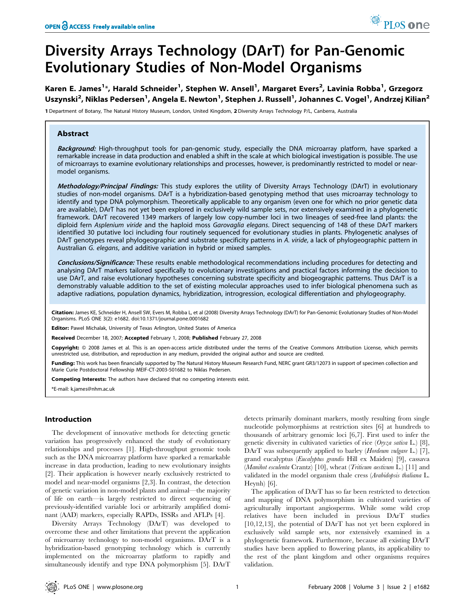# Diversity Arrays Technology (DArT) for Pan-Genomic Evolutionary Studies of Non-Model Organisms

Karen E. James<sup>1</sup>\*, Harald Schneider<sup>1</sup>, Stephen W. Ansell<sup>1</sup>, Margaret Evers<sup>2</sup>, Lavinia Robba<sup>1</sup>, Grzegorz Uszynski<sup>2</sup>, Niklas Pedersen<sup>1</sup>, Angela E. Newton<sup>1</sup>, Stephen J. Russell<sup>1</sup>, Johannes C. Vogel<sup>1</sup>, Andrzej Kilian<sup>2</sup>

1 Department of Botany, The Natural History Museum, London, United Kingdom, 2 Diversity Arrays Technology P/L, Canberra, Australia

## Abstract

Background: High-throughput tools for pan-genomic study, especially the DNA microarray platform, have sparked a remarkable increase in data production and enabled a shift in the scale at which biological investigation is possible. The use of microarrays to examine evolutionary relationships and processes, however, is predominantly restricted to model or nearmodel organisms.

Methodology/Principal Findings: This study explores the utility of Diversity Arrays Technology (DArT) in evolutionary studies of non-model organisms. DArT is a hybridization-based genotyping method that uses microarray technology to identify and type DNA polymorphism. Theoretically applicable to any organism (even one for which no prior genetic data are available), DArT has not yet been explored in exclusively wild sample sets, nor extensively examined in a phylogenetic framework. DArT recovered 1349 markers of largely low copy-number loci in two lineages of seed-free land plants: the diploid fern Asplenium viride and the haploid moss Garovaglia elegans. Direct sequencing of 148 of these DArT markers identified 30 putative loci including four routinely sequenced for evolutionary studies in plants. Phylogenetic analyses of DArT genotypes reveal phylogeographic and substrate specificity patterns in A. viride, a lack of phylogeographic pattern in Australian G. elegans, and additive variation in hybrid or mixed samples.

Conclusions/Significance: These results enable methodological recommendations including procedures for detecting and analysing DArT markers tailored specifically to evolutionary investigations and practical factors informing the decision to use DArT, and raise evolutionary hypotheses concerning substrate specificity and biogeographic patterns. Thus DArT is a demonstrably valuable addition to the set of existing molecular approaches used to infer biological phenomena such as adaptive radiations, population dynamics, hybridization, introgression, ecological differentiation and phylogeography.

Citation: James KE, Schneider H, Ansell SW, Evers M, Robba L, et al (2008) Diversity Arrays Technology (DArT) for Pan-Genomic Evolutionary Studies of Non-Model Organisms. PLoS ONE 3(2): e1682. doi:10.1371/journal.pone.0001682

Editor: Pawel Michalak, University of Texas Arlington, United States of America

Received December 18, 2007; Accepted February 1, 2008; Published February 27, 2008

Copyright: © 2008 James et al. This is an open-access article distributed under the terms of the Creative Commons Attribution License, which permits unrestricted use, distribution, and reproduction in any medium, provided the original author and source are credited.

Funding: This work has been financially supported by The Natural History Museum Research Fund, NERC grant GR3/12073 in support of specimen collection and Marie Curie Postdoctoral Fellowship MEIF-CT-2003-501682 to Niklas Pedersen.

Competing Interests: The authors have declared that no competing interests exist.

\*E-mail: k.james@nhm.ac.uk

## Introduction

The development of innovative methods for detecting genetic variation has progressively enhanced the study of evolutionary relationships and processes [1]. High-throughput genomic tools such as the DNA microarray platform have sparked a remarkable increase in data production, leading to new evolutionary insights [2]. Their application is however nearly exclusively restricted to model and near-model organisms [2,3]. In contrast, the detection of genetic variation in non-model plants and animal—the majority of life on earth—is largely restricted to direct sequencing of previously-identified variable loci or arbitrarily amplified dominant (AAD) markers, especially RAPDs, ISSRs and AFLPs [4].

Diversity Arrays Technology (DArT) was developed to overcome these and other limitations that prevent the application of microarray technology to non-model organisms. DArT is a hybridization-based genotyping technology which is currently implemented on the microarray platform to rapidly and simultaneously identify and type DNA polymorphism [5]. DArT

detects primarily dominant markers, mostly resulting from single nucleotide polymorphisms at restriction sites [6] at hundreds to thousands of arbitrary genomic loci [6,7]. First used to infer the genetic diversity in cultivated varieties of rice  $(Oryza satusa L.)$  [8], DArT was subsequently applied to barley (Hordeum vulgare L.) [7], grand eucalyptus (Eucalyptus grandis Hill ex Maiden) [9], cassava (Manihot esculenta Crantz) [10], wheat (*Triticum aestivum* L.) [11] and validated in the model organism thale cress (Arabidopsis thaliana L. Heynh) [6].

The application of DArT has so far been restricted to detection and mapping of DNA polymorphism in cultivated varieties of agriculturally important angiosperms. While some wild crop relatives have been included in previous DArT studies [10,12,13], the potential of DArT has not yet been explored in exclusively wild sample sets, nor extensively examined in a phylogenetic framework. Furthermore, because all existing DArT studies have been applied to flowering plants, its applicability to the rest of the plant kingdom and other organisms requires validation.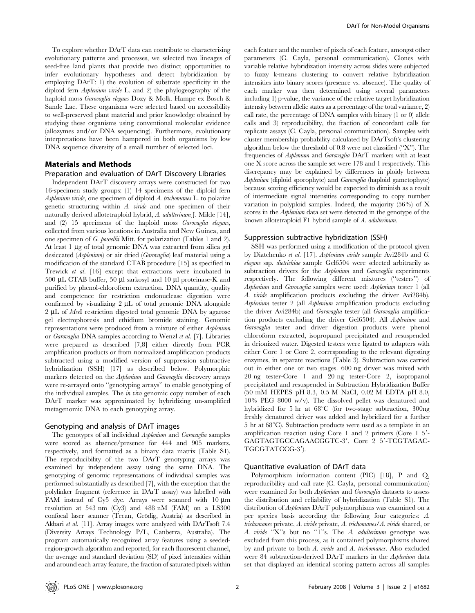To explore whether DArT data can contribute to characterising evolutionary patterns and processes, we selected two lineages of seed-free land plants that provide two distinct opportunities to infer evolutionary hypotheses and detect hybridization by employing DArT: 1) the evolution of substrate specificity in the diploid fern Asplenium viride L. and 2) the phylogeography of the haploid moss Garovaglia elegans Dozy & Molk. Hampe ex Bosch & Sande Lac. These organisms were selected based on accessibility to well-preserved plant material and prior knowledge obtained by studying these organisms using conventional molecular evidence (allozymes and/or DNA sequencing). Furthermore, evolutionary interpretations have been hampered in both organisms by low DNA sequence diversity of a small number of selected loci.

# Materials and Methods

## Preparation and evaluation of DArT Discovery Libraries

Independent DArT discovery arrays were constructed for two 16-specimen study groups: (1) 14 specimens of the diploid fern Asplenium viride, one specimen of diploid A. trichomanes L. to polarize genetic structuring within A. viride and one specimen of their naturally derived allotetraploid hybrid, A. adulterinum J. Milde [14], and (2) 15 specimens of the haploid moss Garovaglia elegans, collected from various locations in Australia and New Guinea, and one specimen of G. powellii Mitt. for polarization (Tables 1 and 2). At least 1  $\mu$ g of total genomic DNA was extracted from silica gel desiccated (Asplenium) or air dried (Garovaglia) leaf material using a modification of the standard CTAB procedure [15] as specified in Trewick et al. [16] except that extractions were incubated in 500 µL CTAB buffer, 50 µl sarkosyl and 10 µl proteinase-K and purified by phenol-chloroform extraction. DNA quantity, quality and competence for restriction endonuclease digestion were confirmed by visualizing  $2 \mu L$  of total genomic DNA alongside  $2 \mu L$  of *MseI* restriction digested total genomic DNA by agarose gel electrophoresis and ethidium bromide staining. Genomic representations were produced from a mixture of either Asplenium or Garovaglia DNA samples according to Wenzl et al. [7]. Libraries were prepared as described [7,8] either directly from PCR amplification products or from normalized amplification products subtracted using a modified version of suppression subtractive hybridization (SSH) [17] as described below. Polymorphic markers detected on the Asplenium and Garovaglia discovery arrays were re-arrayed onto ''genotyping arrays'' to enable genotyping of the individual samples. The *in vivo* genomic copy number of each DArT marker was approximated by hybridizing un-amplified metagenomic DNA to each genotyping array.

#### Genotyping and analysis of DArT images

The genotypes of all individual Asplenium and Garovaglia samples were scored as absence/presence for 444 and 905 markers, respectively, and formatted as a binary data matrix (Table S1). The reproducibility of the two DArT genotyping arrays was examined by independent assay using the same DNA. The genotyping of genomic representations of individual samples was performed substantially as described [7], with the exception that the polylinker fragment (reference in DArT assay) was labelled with FAM instead of Cy5 dye. Arrays were scanned with  $10 \mu m$ resolution at 543 nm (Cy3) and 488 nM (FAM) on a LS300 confocal laser scanner (Tecan, Grödig, Austria) as described in Akbari et al. [11]. Array images were analyzed with DArTsoft 7.4 (Diversity Arrays Technology P/L, Canberra, Australia). The program automatically recognized array features using a seededregion-growth algorithm and reported, for each fluorescent channel, the average and standard deviation (SD) of pixel intensities within and around each array feature, the fraction of saturated pixels within each feature and the number of pixels of each feature, amongst other parameters (C. Cayla, personal communication). Clones with variable relative hybridization intensity across slides were subjected to fuzzy k-means clustering to convert relative hybridization intensities into binary scores (presence vs. absence). The quality of each marker was then determined using several parameters including 1) p-value, the variance of the relative target hybridization intensity between allelic states as a percentage of the total variance, 2) call rate, the percentage of DNA samples with binary (1 or 0) allele calls and 3) reproducibility, the fraction of concordant calls for replicate assays (C. Cayla, personal communication). Samples with cluster membership probability calculated by DArTsoft's clustering algorithm below the threshold of 0.8 were not classified (''X''). The frequencies of Asplenium and Garovaglia DArT markers with at least one X score across the sample set were 178 and 1 respectively. This discrepancy may be explained by differences in ploidy between Asplenium (diploid sporophyte) and Garovaglia (haploid gametophyte) because scoring efficiency would be expected to diminish as a result of intermediate signal intensities corresponding to copy number variation in polyploid samples. Indeed, the majority (56%) of X scores in the *Asplenium* data set were detected in the genotype of the known allotetraploid F1 hybrid sample of A. adulterinum.

#### Suppression subtractive hybridization (SSH)

SSH was performed using a modification of the protocol given by Diatchenko et al. [17]. Asplenium viride sample Avi284b and G. elegans ssp. dietrichiae sample Gel6504 were selected arbitrarily as subtraction drivers for the Asplenium and Garovaglia experiments respectively. The following different mixtures (''testers'') of Asplenium and Garovaglia samples were used: Asplenium tester 1 (all A. viride amplification products excluding the driver Avi284b), Asplenium tester 2 (all Asplenium amplification products excluding the driver Avi284b) and Garovaglia tester (all Garovaglia amplification products excluding the driver Gel6504). All Asplenium and Garovaglia tester and driver digestion products were phenol chloroform extracted, isopropanol precipitated and resuspended in deionized water. Digested testers were ligated to adapters with either Core 1 or Core 2, corresponding to the relevant digesting enzymes, in separate reactions (Table 3). Subtraction was carried out in either one or two stages. 600 ng driver was mixed with 20 ng tester-Core 1 and 20 ng tester-Core 2, isopropanol precipitated and resuspended in Subtraction Hybridization Buffer (50 mM HEPES pH 8.3, 0.5 M NaCl, 0.02 M EDTA pH 8.0, 10% PEG 8000 w/v). The dissolved pellet was denatured and hybridized for 5 hr at  $68^{\circ}$ C (for two-stage subtraction, 300ng freshly denatured driver was added and hybridized for a further  $5$  hr at  $68^{\circ}$ C). Subtraction products were used as a template in an amplification reaction using Core 1 and 2 primers (Core  $1\,5'$ -GAGTAGTGCCAGAACGGTC-3', Core 2 5'-TCGTAGAC-TGCGTATCCG-3').

## Quantitative evaluation of DArT data

Polymorphism information content (PIC) [18], P and Q, reproducibility and call rate (C. Cayla, personal communication) were examined for both Asplenium and Garovaglia datasets to assess the distribution and reliability of hybridization (Table S1). The distribution of *Asplenium* DArT polymorphisms was examined on a per species basis according the following four categories: A. trichomanes private, A. viride private, A. trichomanes/A. viride shared, or A. viride "X"s but no "1"s. The A. adulterinum genotype was excluded from this process, as it contained polymorphisms shared by and private to both A. viride and A. trichomanes. Also excluded were 84 subtraction-derived DArT markers in the Asplenium data set that displayed an identical scoring pattern across all samples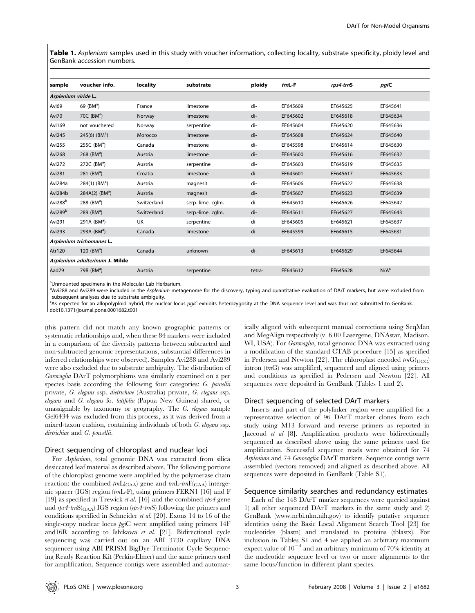Table 1. Asplenium samples used in this study with voucher information, collecting locality, substrate specificity, ploidy level and GenBank accession numbers.

| sample                         | voucher info.                | locality    | substrate         | ploidy | $trnL-F$ | rps4-trnS | pgiC             |
|--------------------------------|------------------------------|-------------|-------------------|--------|----------|-----------|------------------|
| Asplenium viride L.            |                              |             |                   |        |          |           |                  |
| Avi69                          | 69 $(BMa)$                   | France      | limestone         | di-    | EF645609 | EF645625  | EF645641         |
| Avi70                          | 70C (BM <sup>a</sup> )       | Norway      | limestone         | di-    | EF645602 | EF645618  | EF645634         |
| Avi169                         | not vouchered                | Norway      | serpentine        | di-    | EF645604 | EF645620  | EF645636         |
| Avi245                         | 245(6) $(BM^a)$              | Morocco     | limestone         | di-    | EF645608 | EF645624  | EF645640         |
| Avi255                         | 255C (BM <sup>a</sup> )      | Canada      | limestone         | di-    | EF645598 | EF645614  | EF645630         |
| <b>Avi268</b>                  | 268 ( $BMa$ )                | Austria     | limestone         | di-    | EF645600 | EF645616  | EF645632         |
| Avi272                         | 272C $(BMa)$                 | Austria     | serpentine        | di-    | EF645603 | EF645619  | EF645635         |
| <b>Avi281</b>                  | 281 (BM <sup>a</sup> )       | Croatia     | limestone         | di-    | EF645601 | EF645617  | EF645633         |
| Avi284a                        | $284(1)$ (BM <sup>a</sup> )  | Austria     | magnesit          | di-    | EF645606 | EF645622  | EF645638         |
| Avi284b                        | $284A(2)$ (BM <sup>a</sup> ) | Austria     | magnesit          | di-    | EF645607 | EF645623  | EF645639         |
| Avi288 <sup>b</sup>            | 288 (BM <sup>a</sup> )       | Switzerland | serp.-lime. cqlm. | di-    | EF645610 | EF645626  | EF645642         |
| Avi289 <sup>b</sup>            | 289 ( $BMa$ )                | Switzerland | serp.-lime. cqlm. | di-    | EF645611 | EF645627  | EF645643         |
| Avi291                         | 291A (BM <sup>a</sup> )      | UK          | serpentine        | di-    | EF645605 | EF645621  | EF645637         |
| <b>Avi293</b>                  | 293A $(BMa)$                 | Canada      | limestone         | di-    | EF645599 | EF645615  | EF645631         |
|                                | Asplenium trichomanes L.     |             |                   |        |          |           |                  |
| Atr120                         | 120 $(BM^a)$                 | Canada      | unknown           | di-    | EF645613 | EF645629  | EF645644         |
| Asplenium adulterinum J. Milde |                              |             |                   |        |          |           |                  |
| Aad79                          | 79B $(BMa)$                  | Austria     | serpentine        | tetra- | EF645612 | EF645628  | N/A <sup>c</sup> |

aUnmounted specimens in the Molecular Lab Herbarium.

b<br>Avi288 and Avi289 were included in the Asplenium metagenome for the discovery, typing and quantitative evaluation of DArT markers, but were excluded from subsequent analyses due to substrate ambiguity.

<sup>C</sup>As expected for an allopolyploid hybrid, the nuclear locus pgiC exhibits heterozygosity at the DNA sequence level and was thus not submitted to GenBank. doi:10.1371/journal.pone.0001682.t001

(this pattern did not match any known geographic patterns or systematic relationships and, when these 84 markers were included in a comparison of the diversity patterns between subtracted and non-subtracted genomic representations, substantial differences in inferred relationships were observed). Samples Avi288 and Avi289 were also excluded due to substrate ambiguity. The distribution of Garovaglia DArT polymorphisms was similarly examined on a per species basis according the following four categories: G. powellii private, G. elegans ssp. dietrichiae (Australia) private, G. elegans ssp. elegans and G. elegans fo. latifolia (Papua New Guinea) shared, or unassignable by taxonomy or geography. The G. elegans sample Gel6434 was excluded from this process, as it was derived from a mixed-taxon cushion, containing individuals of both G. elegans ssp. dietrichiae and G. powellii.

#### Direct sequencing of chloroplast and nuclear loci

For Asplenium, total genomic DNA was extracted from silica desiccated leaf material as described above. The following portions of the chloroplast genome were amplified by the polymerase chain reaction: the combined  $tmL_{\text{CAA}}$  gene and  $tmL$ -trn $F_{\text{GAA}}$  intergenic spacer (IGS) region (trnL-F), using primers FERN1 [16] and F [19] as specified in Trewick *et al.* [16] and the combined  $rps4$  gene and  $rps4$ -trnS( $_{\text{GAA}}$ ) IGS region ( $rps4$ -trnS) following the primers and conditions specified in Schneider et al. [20]. Exons 14 to 16 of the single-copy nuclear locus pgiC were amplified using primers 14F and  $16R$  according to Ishikawa et al. [21]. Bidirectional cycle sequencing was carried out on an ABI 3730 capillary DNA sequencer using ABI PRISM BigDye Terminator Cycle Sequencing Ready Reaction Kit (Perkin-Elmer) and the same primers used for amplification. Sequence contigs were assembled and automatically aligned with subsequent manual corrections using SeqMan and MegAlign respectively (v. 6.00 Lasergene, DNAstar, Madison, WI, USA). For *Garovaglia*, total genomic DNA was extracted using a modification of the standard CTAB procedure [15] as specified in Pedersen and Newton [22]. The chloroplast encoded  $tmG(<sub>UCC</sub>)$ intron (trnG) was amplified, sequenced and aligned using primers and conditions as specified in Pedersen and Newton [22]. All sequences were deposited in GenBank (Tables 1 and 2).

#### Direct sequencing of selected DArT markers

Inserts and part of the polylinker region were amplified for a representative selection of 96 DArT marker clones from each study using M13 forward and reverse primers as reported in Jaccoud et al [8]. Amplification products were bidirectionally sequenced as described above using the same primers used for amplification. Successful sequence reads were obtained for 74 Asplenium and 74 Garovaglia DArT markers. Sequence contigs were assembled (vectors removed) and aligned as described above. All sequences were deposited in GenBank (Table S1).

#### Sequence similarity searches and redundancy estimates

Each of the 148 DArT marker sequences were queried against 1) all other sequenced DArT markers in the same study and 2) GenBank (www.ncbi.nlm.nih.gov) to identify putative sequence identities using the Basic Local Alignment Search Tool [23] for nucleotides (blastn) and translated to proteins (tblastx). For inclusion in Tables S1 and 4 we applied an arbitrary maximum expect value of  $10^{-4}$  and an arbitrary minimum of 70% identity at the nucleotide sequence level or two or more alignments to the same locus/function in different plant species.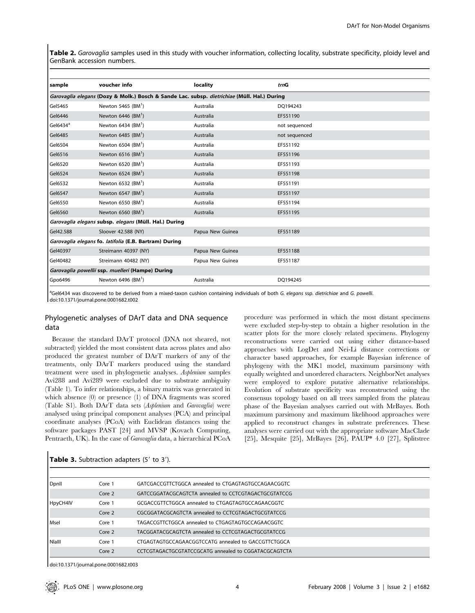Table 2. Garovaglia samples used in this study with voucher information, collecting locality, substrate specificity, ploidy level and GenBank accession numbers.

| sample                                                                                      | voucher info                     | locality         | trnG          |  |  |
|---------------------------------------------------------------------------------------------|----------------------------------|------------------|---------------|--|--|
| Garovaglia elegans (Dozy & Molk.) Bosch & Sande Lac. subsp. dietrichiae (Müll. Hal.) During |                                  |                  |               |  |  |
| Gel5465                                                                                     | Newton 5465 $(BM1)$              | Australia        | DQ194243      |  |  |
| Gel6446                                                                                     | Newton $6446$ (BM <sup>1</sup> ) | Australia        | EF551190      |  |  |
| Gel6434 <sup>a</sup>                                                                        | Newton $6434$ (BM <sup>1</sup> ) | Australia        | not sequenced |  |  |
| Gel6485                                                                                     | Newton $6485$ (BM <sup>1</sup> ) | Australia        | not sequenced |  |  |
| Gel6504                                                                                     | Newton $6504$ (BM <sup>1</sup> ) | Australia        | EF551192      |  |  |
| Gel6516                                                                                     | Newton $6516$ (BM <sup>1</sup> ) | Australia        | EF551196      |  |  |
| Gel6520                                                                                     | Newton $6520$ (BM <sup>1</sup> ) | Australia        | EF551193      |  |  |
| Gel6524                                                                                     | Newton $6524$ (BM <sup>1</sup> ) | Australia        | EF551198      |  |  |
| Gel6532                                                                                     | Newton $6532$ (BM <sup>1</sup> ) | Australia        | EF551191      |  |  |
| Gel6547                                                                                     | Newton 6547 $(BM^1)$             | Australia        | EF551197      |  |  |
| Gel6550                                                                                     | Newton $6550$ (BM <sup>1</sup> ) | Australia        | EF551194      |  |  |
| Gel6560                                                                                     | Newton $6560$ (BM <sup>1</sup> ) | Australia        | EF551195      |  |  |
| Garovaglia elegans subsp. elegans (Müll. Hal.) During                                       |                                  |                  |               |  |  |
| Gel42.588                                                                                   | Sloover 42.588 (NY)              | Papua New Guinea | EF551189      |  |  |
| Garovaglia elegans fo. latifolia (E.B. Bartram) During                                      |                                  |                  |               |  |  |
| Gel40397                                                                                    | Streimann 40397 (NY)             | Papua New Guinea | EF551188      |  |  |
| Gel40482                                                                                    | Streimann 40482 (NY)             | Papua New Guinea | EF551187      |  |  |
| Garovaglia powellii ssp. muelleri (Hampe) During                                            |                                  |                  |               |  |  |
| Gpo6496                                                                                     | Newton 6496 $(BM^1)$             | Australia        | DQ194245      |  |  |
|                                                                                             |                                  |                  |               |  |  |

<sup>a</sup>Gel6434 was discovered to be derived from a mixed-taxon cushion containing individuals of both G. elegans ssp. dietrichiae and G. powelli. doi:10.1371/journal.pone.0001682.t002

# Phylogenetic analyses of DArT data and DNA sequence data

Because the standard DArT protocol (DNA not sheared, not subtracted) yielded the most consistent data across plates and also produced the greatest number of DArT markers of any of the treatments, only DArT markers produced using the standard treatment were used in phylogenetic analyses. Asplenium samples Avi288 and Avi289 were excluded due to substrate ambiguity (Table 1). To infer relationships, a binary matrix was generated in which absence (0) or presence (1) of DNA fragments was scored (Table S1). Both DArT data sets (Asplenium and Garovaglia) were analysed using principal component analyses (PCA) and principal coordinate analyses (PCoA) with Euclidean distances using the software packages PAST [24] and MVSP (Kovach Computing, Pentraeth, UK). In the case of Garovaglia data, a hierarchical PCoA procedure was performed in which the most distant specimens were excluded step-by-step to obtain a higher resolution in the scatter plots for the more closely related specimens. Phylogeny reconstructions were carried out using either distance-based approaches with LogDet and Nei-Li distance corrections or character based approaches, for example Bayesian inference of phylogeny with the MK1 model, maximum parsimony with equally weighted and unordered characters. NeighborNet analyses were employed to explore putative alternative relationships. Evolution of substrate specificity was reconstructed using the consensus topology based on all trees sampled from the plateau phase of the Bayesian analyses carried out with MrBayes. Both maximum parsimony and maximum likelihood approaches were applied to reconstruct changes in substrate preferences. These analyses were carried out with the appropriate software MacClade [25], Mesquite [25], MrBayes [26], PAUP\* 4.0 [27], Splitstree

| Dpnll       | Core 1 | GATCGACCGTTCTGGCA annealed to CTGAGTAGTGCCAGAACGGTC  |
|-------------|--------|------------------------------------------------------|
|             | Core 2 | GATCCGGATACGCAGTCTA annealed to CCTCGTAGACTGCGTATCCG |
| HpyCH4IV    | Core 1 | GCGACCGTTCTGGCA annealed to CTGAGTAGTGCCAGAACGGTC    |
|             | Core 2 | CGCGGATACGCAGTCTA annealed to CCTCGTAGACTGCGTATCCG   |
| <b>Msel</b> | Core 1 | TAGACCGTTCTGGCA annealed to CTGAGTAGTGCCAGAACGGTC    |
|             | Core 2 | TACGGATACGCAGTCTA annealed to CCTCGTAGACTGCGTATCCG   |
| l Niaill    | Core 1 | CTGAGTAGTGCCAGAACGGTCCATG annealed to GACCGTTCTGGCA  |
|             | Core 2 | CCTCGTAGACTGCGTATCCGCATG annealed to CGGATACGCAGTCTA |

#### Table 3. Subtraction adapters (5' to 3').

doi:10.1371/journal.pone.0001682.t003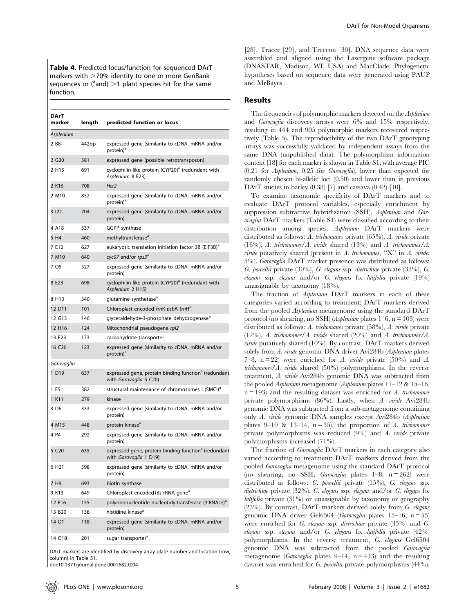Table 4. Predicted locus/function for sequenced DArT markers with  $>$  70% identity to one or more GenBank sequences or ( $a$  and)  $>1$  plant species hit for the same function.

| <b>DArT</b><br>marker | length | predicted function or locus                                                                |
|-----------------------|--------|--------------------------------------------------------------------------------------------|
| Asplenium             |        |                                                                                            |
| 2 B <sub>8</sub>      | 442bp  | expressed gene (similarity to cDNA, mRNA and/or<br>protein) <sup>a</sup>                   |
| 2 G20                 | 581    | expressed gene (possible retrotransposon)                                                  |
| 2 H15                 | 691    | cyclophilin-like protein (CYP20) <sup>a</sup> (redundant with<br>Asplenium 8 E23)          |
| 2 K16                 | 708    | Hcr2                                                                                       |
| 2 M <sub>10</sub>     | 852    | expressed gene (similarity to cDNA, mRNA and/or<br>protein) <sup>a</sup>                   |
| 3 122                 | 704    | expressed gene (similarity to cDNA, mRNA and/or<br>protein)                                |
| 4 A18                 | 537    | GGPP synthase                                                                              |
| 5 H4                  | 460    | methyltransferase <sup>a</sup>                                                             |
| 7 E12                 | 627    | eukaryotic translation initiation factor 3B (EIF3B) <sup>a</sup>                           |
| 7 M10                 | 640    | cyc07 and/or rps3 <sup>a</sup>                                                             |
| 7 O5                  | 527    | expressed gene (similarity to cDNA, mRNA and/or<br>protein)                                |
| 8 E23                 | 698    | cyclophilin-like protein (CYP20) <sup>a</sup> (redundant with<br>Asplenium 2 H15)          |
| 8 H10                 | 340    | glutamine synthetase <sup>a</sup>                                                          |
| 12 D11                | 101    | Chloroplast-encoded trnK-psbA-trnH <sup>a</sup>                                            |
| 12 G13                | 146    | glyceraldehyde-3-phosphate dehydrogenase <sup>a</sup>                                      |
| 12 H16                | 124    | Mitochondrial pseudogene rpl2                                                              |
| 13 F23                | 173    | carbohydrate transporter                                                                   |
| 16 C <sub>20</sub>    | 123    | expressed gene (similarity to cDNA, mRNA and/or<br>protein) <sup>a</sup>                   |
| Garovaglia            |        |                                                                                            |
| 1 D19                 | 637    | expressed gene, protein binding function <sup>a</sup> (redundant<br>with Garovaglia 5 C20) |
| 1 E5                  | 382    | structural maintenance of chromosomes I (SMCI) <sup>a</sup>                                |
| 1 K11                 | 279    | kinase                                                                                     |
| 3 D6                  | 333    | expressed gene (similarity to cDNA, mRNA and/or<br>protein)                                |
| 4 M15                 | 448    | protein kinase <sup>a</sup>                                                                |
| 4 P4                  | 292    | expressed gene (similarity to cDNA, mRNA and/or<br>protein)                                |
| 5 C <sub>20</sub>     | 635    | expressed gene, protein binding function <sup>a</sup> (redundant<br>with Garovaglia 1 D19) |
| 6 H <sub>21</sub>     | 598    | expressed gene (similarity to cDNA, mRNA and/or<br>protein)                                |
| 7 H9                  | 693    | biotin synthase                                                                            |
| 9 K13                 | 649    | Chloroplast-encoded16s rRNA gene <sup>a</sup>                                              |
| 12 F16                | 155    | polyribonucleotide nucleotidyltransferase (3'RNAse) <sup>a</sup>                           |
| 13 B <sub>20</sub>    | 138    | histidine kinase <sup>a</sup>                                                              |
| 14 O1                 | 118    | expressed gene (similarity to cDNA, mRNA and/or<br>protein)                                |
| 14 018                | 201    | sugar transporter <sup>a</sup>                                                             |

DArT markers are identified by discovery array plate number and location (row, column) in Table S1.

doi:10.1371/journal.pone.0001682.t004

[28], Tracer [29], and Treecon [30]. DNA sequence data were assembled and aligned using the Lasergene software package (DNASTAR, Madison, WI, USA) and MacClade. Phylogenetic hypotheses based on sequence data were generated using PAUP and MrBayes.

## Results

The frequencies of polymorphic markers detected on the Asplenium and Garovaglia discovery arrays were 6% and 15% respectively, resulting in 444 and 905 polymorphic markers recovered respectively (Table 5). The reproducibility of the two DArT genotyping arrays was successfully validated by independent assays from the same DNA (unpublished data). The polymorphism information content [18] for each marker is shown in Table S1; with average PIC (0.21 for Asplenium, 0.25 for Garovaglia), lower than expected for randomly chosen bi-allelic loci (0.50) and lower than in previous DArT studies in barley (0.38) [7] and cassava (0.42) [10].

To examine taxonomic specificity of DArT markers and to evaluate DArT protocol variables, especially enrichment by suppression subtractive hybridization (SSH), Asplenium and Garovaglia DArT markers (Table S1) were classified according to their distribution among species. Asplenium DArT markers were distributed as follows: A. trichomanes private (65%), A. viride private (16%), A. trichomanes/A. viride shared (13%) and A. trichomanes/A. viride putatively shared (present in  $A$ . trichomanes, "X" in  $A$ . viride, 5%). Garovaglia DArT marker presence was distributed as follows: G. powellii private (30%), G. elegans ssp. dietrichiae private (33%), G. elegans ssp. elegans and/or G. elegans fo. latifolia private (19%) unassignable by taxonomy (18%).

The fraction of Asplenium DArT markers in each of these categories varied according to treatment: DArT markers derived from the pooled Asplenium metagenome using the standard DArT protocol (no shearing, no SSH) (*Asplenium* plates  $1-6$ , n = 103) were distributed as follows: A. trichomanes private (58%), A. viride private (12%), A. trichomanes/A. viride shared (20%) and A. trichomanes/A. viride putatively shared (10%). By contrast, DArT markers derived solely from A. viride genomic DNA driver Avi284b (Asplenium plates 7–8,  $n = 22$ ) were enriched for A. viride private (50%) and A. trichomanes/A. viride shared  $(50\%)$  polymorphisms. In the reverse treatment, A. viride Avi284b genomic DNA was subtracted from the pooled Asplenium metagenome (Asplenium plates 11–12 & 15–16,  $n = 193$  and the resulting dataset was enriched for A. trichomanes private polymorphisms (86%). Lastly, when A. viride Avi284b genomic DNA was subtracted from a sub-metagenome containing only A. viride genomic DNA samples except Avi284b (Asplenium plates 9–10 & 13–14,  $n = 35$ ), the proportion of A. trichomanes private polymorphisms was reduced (9%) and A. viride private polymorphisms increased (71%).

The fraction of Garovaglia DArT markers in each category also varied according to treatment: DArT markers derived from the pooled Garovaglia metagenome using the standard DArT protocol (no shearing, no SSH, *Garovaglia* plates  $1-8$ ,  $n = 262$ ) were distributed as follows: G. powellii private (15%), G. elegans ssp. dietrichiae private (32%), G. elegans ssp. elegans and/or G. elegans fo. latifolia private (31%) or unassignable by taxonomy or geography (23%). By contrast, DArT markers derived solely from G. elegans genomic DNA driver Gel $6504$  (*Garovaglia* plates 15–16, n = 55) were enriched for G. elegans ssp. dietrichiae private (35%) and G. elegans ssp. elegans and/or G. elegans fo. latifolia private (42%) polymorphisms. In the reverse treatment, G. elegans Gel6504 genomic DNA was subtracted from the pooled Garovaglia metagenome (*Garovaglia* plates  $9-14$ ,  $n = 413$ ) and the resulting dataset was enriched for G. powellii private polymorphisms (44%).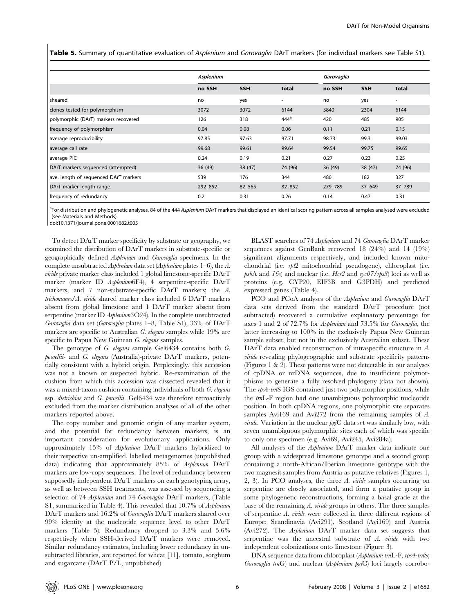Table 5. Summary of quantitative evaluation of Asplenium and Garovaglia DArT markers (for individual markers see Table S1).

|                                       | Asplenium   |            |            | Garovaglia |            |            |  |
|---------------------------------------|-------------|------------|------------|------------|------------|------------|--|
|                                       | no SSH      | <b>SSH</b> | total      | no SSH     | <b>SSH</b> | total      |  |
| sheared                               | no          | yes        | ٠          | no         | yes        | ٠          |  |
| clones tested for polymorphism        | 3072        | 3072       | 6144       | 3840       | 2304       | 6144       |  |
| polymorphic (DArT) markers recovered  | 126         | 318        | $444^a$    | 420        | 485        | 905        |  |
| frequency of polymorphism             | 0.04        | 0.08       | 0.06       | 0.11       | 0.21       | 0.15       |  |
| average reproducibility               | 97.85       | 97.63      | 97.71      | 98.73      | 99.3       | 99.03      |  |
| average call rate                     | 99.68       | 99.61      | 99.64      | 99.54      | 99.75      | 99.65      |  |
| average PIC                           | 0.24        | 0.19       | 0.21       | 0.27       | 0.23       | 0.25       |  |
| DArT markers sequenced (attempted)    | 36(49)      | 38(47)     | 74 (96)    | 36(49)     | 38 (47)    | 74 (96)    |  |
| ave. length of sequenced DArT markers | 539         | 176        | 344        | 480        | 182        | 327        |  |
| DArT marker length range              | $292 - 852$ | $82 - 565$ | $82 - 852$ | 279-789    | $37 - 649$ | $37 - 789$ |  |
| frequency of redundancy               | 0.2         | 0.31       | 0.26       | 0.14       | 0.47       | 0.31       |  |

<sup>a</sup>For distribution and phylogenetic analyses, 84 of the 444 Asplenium DArT markers that displayed an identical scoring pattern across all samples analysed were excluded (see Materials and Methods).

doi:10.1371/journal.pone.0001682.t005

To detect DArT marker specificity by substrate or geography, we examined the distribution of DArT markers in substrate-specific or geographically defined Asplenium and Garovaglia specimens. In the complete unsubtracted Asplenium data set (Asplenium plates 1–6), the A. viride private marker class included 1 global limestone-specific DArT marker (marker ID Asplenium6F4), 4 serpentine-specific DArT markers, and 7 non-substrate-specific DArT markers; the A. trichomanes/A. viride shared marker class included 6 DArT markers absent from global limestone and 1 DArT marker absent from serpentine (marker ID Asplenium3O24). In the complete unsubtracted Garovaglia data set (Garovaglia plates 1–8, Table S1), 33% of DArT markers are specific to Australian G. elegans samples while 19% are specific to Papua New Guinean *G. elegans* samples.

The genotype of G. elegans sample Gel6434 contains both G. powellii- and G. elegans (Australia)-private DArT markers, potentially consistent with a hybrid origin. Perplexingly, this accession was not a known or suspected hybrid. Re-examination of the cushion from which this accession was dissected revealed that it was a mixed-taxon cushion containing individuals of both G. elegans ssp. dietrichiae and G. powellii. Gel6434 was therefore retroactively excluded from the marker distribution analyses of all of the other markers reported above.

The copy number and genomic origin of any marker system, and the potential for redundancy between markers, is an important consideration for evolutionary applications. Only approximately 15% of Asplenium DArT markers hybridized to their respective un-amplified, labelled metagenomes (unpublished data) indicating that approximately 85% of Asplenium DArT markers are low-copy sequences. The level of redundancy between supposedly independent DArT markers on each genotyping array, as well as between SSH treatments, was assessed by sequencing a selection of 74 Asplenium and 74 Garovaglia DArT markers, (Table S1, summarized in Table 4). This revealed that 10.7% of Asplenium DArT markers and 16.2% of *Garovaglia* DArT markers shared over 99% identity at the nucleotide sequence level to other DArT markers (Table 5). Redundancy dropped to 3.3% and 5.6% respectively when SSH-derived DArT markers were removed. Similar redundancy estimates, including lower redundancy in unsubtracted libraries, are reported for wheat [11], tomato, sorghum and sugarcane (DArT P/L, unpublished).

BLAST searches of 74 Asplenium and 74 Garovaglia DArT marker sequences against GenBank recovered 18 (24%) and 14 (19%) significant alignments respectively, and included known mitochondrial (i.e. rpl2 mitochondrial pseudogene), chloroplast (i.e.  $psbA$  and 16s) and nuclear (i.e. Hcr2 and cyc07/rps3) loci as well as proteins (e.g. CYP20, EIF3B and G3PDH) and predicted expressed genes (Table 4).

PCO and PCoA analyses of the Asplenium and Garovaglia DArT data sets derived from the standard DArT procedure (not subtracted) recovered a cumulative explanatory percentage for axes 1 and 2 of 72.7% for Asplenium and 73.5% for Garovaglia, the latter increasing to 100% in the exclusively Papua New Guinean sample subset, but not in the exclusively Australian subset. These DArT data enabled reconstruction of intraspecific structure in A. viride revealing phylogeographic and substrate specificity patterns (Figures 1 & 2). These patterns were not detectable in our analyses of cpDNA or nrDNA sequences, due to insufficient polymorphisms to generate a fully resolved phylogeny (data not shown). The rps4-tmS IGS contained just two polymorphic positions, while the trnL-F region had one unambiguous polymorphic nucleotide position. In both cpDNA regions, one polymorphic site separates samples Avi169 and Avi272 from the remaining samples of A. *viride*. Variation in the nuclear  $pgiC$  data set was similarly low, with seven unambiguous polymorphic sites each of which was specific to only one specimen (e.g. Avi69, Avi245, Avi284a).

All analyses of the Asplenium DArT marker data indicate one group with a widespread limestone genotype and a second group containing a north-African/Iberian limestone genotype with the two magnesit samples from Austria as putative relatives (Figures 1, 2, 3). In PCO analyses, the three A. viride samples occurring on serpentine are closely associated, and form a putative group in some phylogenetic reconstructions, forming a basal grade at the base of the remaining  $A$ . *viride* groups in others. The three samples of serpentine A. viride were collected in three different regions of Europe: Scandinavia (Avi291), Scotland (Avi169) and Austria (Avi272). The Asplenium DArT marker data set suggests that serpentine was the ancestral substrate of A. viride with two independent colonizations onto limestone (Figure 3).

DNA sequence data from chloroplast (Asplenium trnL-F, rps4-tmS; Garovaglia trnG) and nuclear (Asplenium pgiC) loci largely corrobo-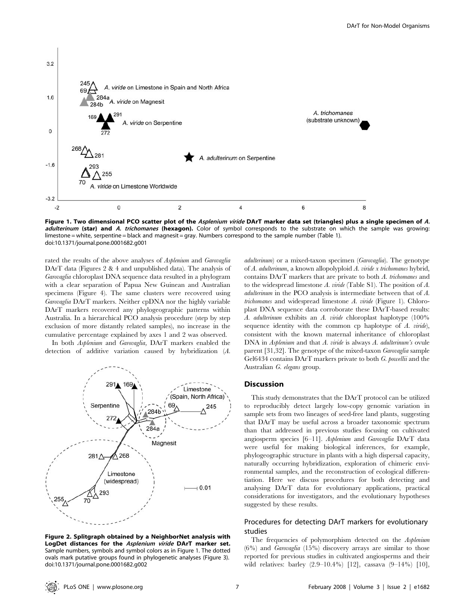

Figure 1. Two dimensional PCO scatter plot of the *Asplenium viride* DArT marker data set (triangles) plus a single specimen of A. adulterinum (star) and A. trichomanes (hexagon). Color of symbol corresponds to the substrate on which the sample was growing: limestone = white, serpentine = black and magnesit = gray. Numbers correspond to the sample number (Table 1). doi:10.1371/journal.pone.0001682.g001

rated the results of the above analyses of Asplenium and Garovaglia DArT data (Figures 2 & 4 and unpublished data). The analysis of Garovaglia chloroplast DNA sequence data resulted in a phylogram with a clear separation of Papua New Guinean and Australian specimens (Figure 4). The same clusters were recovered using Garovaglia DArT markers. Neither cpDNA nor the highly variable DArT markers recovered any phylogeographic patterns within Australia. In a hierarchical PCO analysis procedure (step by step exclusion of more distantly related samples), no increase in the cumulative percentage explained by axes 1 and 2 was observed.

In both Asplenium and Garovaglia, DArT markers enabled the detection of additive variation caused by hybridization (A.



Figure 2. Splitgraph obtained by a NeighborNet analysis with LogDet distances for the Asplenium viride DArT marker set. Sample numbers, symbols and symbol colors as in Figure 1. The dotted ovals mark putative groups found in phylogenetic analyses (Figure 3). doi:10.1371/journal.pone.0001682.g002

adulterinum) or a mixed-taxon specimen (Garovaglia). The genotype of A. adulterinum, a known allopolyploid A. viride x trichomanes hybrid, contains DArT markers that are private to both A. trichomanes and to the widespread limestone A. viride (Table S1). The position of A. adulterinum in the PCO analysis is intermediate between that of A. trichomanes and widespread limestone A. viride (Figure 1). Chloroplast DNA sequence data corroborate these DArT-based results: A. adulterinum exhibits an A. viride chloroplast haplotype (100% sequence identity with the common cp haplotype of  $A$ . viride), consistent with the known maternal inheritance of chloroplast DNA in *Asplenium* and that *A. viride* is always *A. adulterinum's* ovule parent [31,32]. The genotype of the mixed-taxon Garovaglia sample Gel6434 contains DArT markers private to both G. powellii and the Australian G. elegans group.

### **Discussion**

This study demonstrates that the DArT protocol can be utilized to reproducibly detect largely low-copy genomic variation in sample sets from two lineages of seed-free land plants, suggesting that DArT may be useful across a broader taxonomic spectrum than that addressed in previous studies focusing on cultivated angiosperm species [6–11]. Asplenium and Garovaglia DArT data were useful for making biological inferences, for example, phylogeographic structure in plants with a high dispersal capacity, naturally occurring hybridization, exploration of chimeric environmental samples, and the reconstruction of ecological differentiation. Here we discuss procedures for both detecting and analysing DArT data for evolutionary applications, practical considerations for investigators, and the evolutionary hypotheses suggested by these results.

# Procedures for detecting DArT markers for evolutionary studies

The frequencies of polymorphism detected on the Asplenium (6%) and Garovaglia (15%) discovery arrays are similar to those reported for previous studies in cultivated angiosperms and their wild relatives: barley (2.9–10.4%) [12], cassava (9–14%) [10],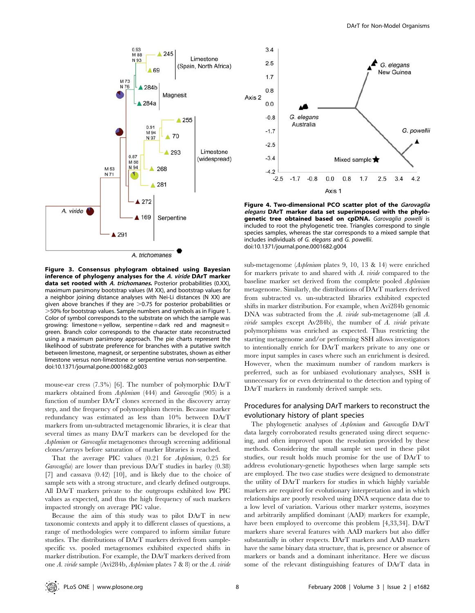

Figure 3. Consensus phylogram obtained using Bayesian inference of phylogeny analyses for the A. viride DArT marker data set rooted with A. trichomanes. Posterior probabilities (0.XX), maximum parsimony bootstrap values (M XX), and bootstrap values for a neighbor joining distance analyses with Nei-Li distances (N XX) are given above branches if they are  $>0.75$  for posterior probabilities or .50% for bootstrap values. Sample numbers and symbols as in Figure 1. Color of symbol corresponds to the substrate on which the sample was growing: limestone = yellow, serpentine = dark red and magnesit = green. Branch color corresponds to the character state reconstructed using a maximum parsimony approach. The pie charts represent the likelihood of substrate preference for branches with a putative switch between limestone, magnesit, or serpentine substrates, shown as either limestone versus non-limestone or serpentine versus non-serpentine. doi:10.1371/journal.pone.0001682.g003

mouse-ear cress (7.3%) [6]. The number of polymorphic DArT markers obtained from Asplenium (444) and Garovaglia (905) is a function of number DArT clones screened in the discovery array step, and the frequency of polymorphism therein. Because marker redundancy was estimated as less than 10% between DArT markers from un-subtracted metagenomic libraries, it is clear that several times as many DArT markers can be developed for the Asplenium or Garovaglia metagenomes through screening additional clones/arrays before saturation of marker libraries is reached.

That the average PIC values (0.21 for Asplenium, 0.25 for Garovaglia) are lower than previous DArT studies in barley (0.38) [7] and cassava (0.42) [10], and is likely due to the choice of sample sets with a strong structure, and clearly defined outgroups. All DArT markers private to the outgroups exhibited low PIC values as expected, and thus the high frequency of such markers impacted strongly on average PIC value.

Because the aim of this study was to pilot DArT in new taxonomic contexts and apply it to different classes of questions, a range of methodologies were compared to inform similar future studies. The distributions of DArT markers derived from samplespecific vs. pooled metagenomes exhibited expected shifts in marker distribution. For example, the DArT markers derived from one A. viride sample (Avi284b, Asplenium plates 7 & 8) or the A. viride



Figure 4. Two-dimensional PCO scatter plot of the Garovaglia elegans DArT marker data set superimposed with the phylogenetic tree obtained based on cpDNA. Garovaglia powelli is included to root the phylogenetic tree. Triangles correspond to single species samples, whereas the star corresponds to a mixed sample that includes individuals of G. elegans and G. powellii. doi:10.1371/journal.pone.0001682.g004

sub-metagenome (Asplenium plates 9, 10, 13 & 14) were enriched for markers private to and shared with A. viride compared to the baseline marker set derived from the complete pooled Asplenium metagenome. Similarly, the distributions of DArT markers derived from subtracted vs. un-subtracted libraries exhibited expected shifts in marker distribution. For example, when Avi284b genomic DNA was subtracted from the A. viride sub-metagenome (all A. viride samples except Av284b), the number of A. viride private polymorphisms was enriched as expected. Thus restricting the starting metagenome and/or performing SSH allows investigators to intentionally enrich for DArT markers private to any one or more input samples in cases where such an enrichment is desired. However, when the maximum number of random markers is preferred, such as for unbiased evolutionary analyses, SSH is unnecessary for or even detrimental to the detection and typing of DArT markers in randomly derived sample sets.

# Procedures for analysing DArT markers to reconstruct the evolutionary history of plant species

The phylogenetic analyses of Asplenium and Garovaglia DArT data largely corroborated results generated using direct sequencing, and often improved upon the resolution provided by these methods. Considering the small sample set used in these pilot studies, our result holds much promise for the use of DArT to address evolutionary-genetic hypotheses when large sample sets are employed. The two case studies were designed to demonstrate the utility of DArT markers for studies in which highly variable markers are required for evolutionary interpretation and in which relationships are poorly resolved using DNA sequence data due to a low level of variation. Various other marker systems, isozymes and arbitrarily amplified dominant (AAD) markers for example, have been employed to overcome this problem [4,33,34]. DArT markers share several features with AAD markers but also differ substantially in other respects. DArT markers and AAD markers have the same binary data structure, that is, presence or absence of markers or bands and a dominant inheritance. Here we discuss some of the relevant distinguishing features of DArT data in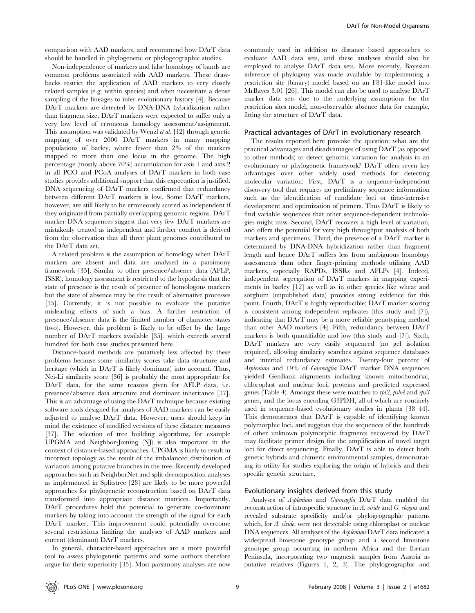comparison with AAD markers, and recommend how DArT data should be handled in phylogenetic or phylogeographic studies.

Non-independence of markers and false homology of bands are common problems associated with AAD markers. These drawbacks restrict the application of AAD markers to very closely related samples (e.g. within species) and often necessitate a dense sampling of the lineages to infer evolutionary history [4]. Because DArT markers are detected by DNA-DNA hybridization rather than fragment size, DArT markers were expected to suffer only a very low level of erroneous homology assessment/assignment. This assumption was validated by Wenzl et al. [12] through genetic mapping of over 2000 DArT markers in many mapping populations of barley, where fewer than 2% of the markers mapped to more than one locus in the genome. The high percentage (mostly above 70%) accumulation for axis 1 and axis 2 in all PCO and PCoA analyses of DArT markers in both case studies provides additional support that this expectation is justified. DNA sequencing of DArT markers confirmed that redundancy between different DArT markers is low. Some DArT markers, however, are still likely to be erroneously scored as independent if they originated from partially overlapping genomic regions. DArT marker DNA sequences suggest that very few DArT markers are mistakenly treated as independent and further comfort is derived from the observation that all three plant genomes contributed to the DArT data set.

A related problem is the assumption of homology when DArT markers are absent and data are analysed in a parsimony framework [35]. Similar to other presence/absence data (AFLP, ISSR), homology assessment is restricted to the hypothesis that the state of presence is the result of presence of homologous markers but the state of absence may be the result of alternative processes [35]. Currently, it is not possible to evaluate the putative misleading effects of such a bias. A further restriction of presence/absence data is the limited number of character states (two). However, this problem is likely to be offset by the large number of DArT markers available [35], which exceeds several hundred for both case studies presented here.

Distance-based methods are putatively less affected by these problems because some similarity scores take data structure and heritage (which in DArT is likely dominant) into account. Thus, Nei-Li similarity score [36] is probably the most appropriate for DArT data, for the same reasons given for AFLP data, i.e. presence/absence data structure and dominant inheritance [37]. This is an advantage of using the DArT technique because existing software tools designed for analyses of AAD markers can be easily adjusted to analyse DArT data. However, users should keep in mind the existence of modified versions of these distance measures [37]. The selection of tree building algorithms, for example UPGMA and Neighbor-Joining (NJ) is also important in the context of distance-based approaches. UPGMA is likely to result in incorrect topology as the result of the imbalanced distribution of variation among putative branches in the tree. Recently developed approaches such as NeighborNet and split decomposition analyses as implemented in Splitstree [28] are likely to be more powerful approaches for phylogenetic reconstruction based on DArT data transformed into appropriate distance matrices. Importantly, DArT procedures hold the potential to generate co-dominant markers by taking into account the strength of the signal for each DArT marker. This improvement could potentially overcome several restrictions limiting the analyses of AAD markers and current (dominant) DArT markers.

In general, character-based approaches are a more powerful tool to assess phylogenetic patterns and some authors therefore argue for their superiority [35]. Most parsimony analyses are now commonly used in addition to distance based approaches to evaluate AAD data sets, and these analyses should also be employed to analyse DArT data sets. More recently, Bayesian inference of phylogeny was made available by implementing a restriction site (binary) model based on an F81-like model into MrBayes 3.01 [26]. This model can also be used to analyse DArT marker data sets due to the underlying assumptions for the restriction sites model, non-observable absence data for example, fitting the structure of DArT data.

#### Practical advantages of DArT in evolutionary research

The results reported here provoke the question: what are the practical advantages and disadvantages of using DArT (as opposed to other methods) to detect genomic variation for analysis in an evolutionary or phylogenetic framework? DArT offers seven key advantages over other widely used methods for detecting molecular variation: First, DArT is a sequence-independent discovery tool that requires no preliminary sequence information such as the identification of candidate loci or time-intensive development and optimization of primers. Thus DArT is likely to find variable sequences that other sequence-dependent technologies might miss. Second, DArT recovers a high level of variation, and offers the potential for very high throughput analysis of both markers and specimens. Third, the presence of a DArT marker is determined by DNA-DNA hybridization rather than fragment length and hence DArT suffers less from ambiguous homology assessments than other finger-printing methods utilising AAD markers, especially RAPDs, ISSRs and AFLPs [4]. Indeed, independent segregation of DArT markers in mapping experiments in barley [12] as well as in other species like wheat and sorghum (unpublished data) provides strong evidence for this point. Fourth, DArT is highly reproducible; DArT marker scoring is consistent among independent replicates (this study and [7]), indicating that DArT may be a more reliable genotyping method than other AAD markers [4]. Fifth, redundancy between DArT markers is both quantifiable and low (this study and [7]). Sixth, DArT markers are very easily sequenced (no gel isolation required), allowing similarity searches against sequence databases and internal redundancy estimates. Twenty-four percent of Asplenium and 19% of Garovaglia DArT marker DNA sequences yielded GenBank alignments including known mitochondrial, chloroplast and nuclear loci, proteins and predicted expressed genes (Table 4). Amongst these were matches to rpl2, psbA and rps3 genes, and the locus encoding G3PDH, all of which are routinely used in sequence-based evolutionary studies in plants [38–44]. This demonstrates that DArT is capable of identifying known polymorphic loci, and suggests that the sequences of the hundreds of other unknown polymorphic fragments recovered by DArT may facilitate primer design for the amplification of novel target loci for direct sequencing. Finally, DArT is able to detect both genetic hybrids and chimeric environmental samples, demonstrating its utility for studies exploring the origin of hybrids and their specific genetic structure.

#### Evolutionary insights derived from this study

Analyses of Asplenium and Garovaglia DArT data enabled the reconstruction of intraspecific structure in A. viride and G. elegans and revealed substrate specificity and/or phylogeographic patterns which, for A. viride, were not detectable using chloroplast or nuclear DNA sequences. All analyses of the Asplenium DArT data indicated a widespread limestone genotype group and a second limestone genotype group occurring in northern Africa and the Iberian Peninsula, incorporating two magnesit samples from Austria as putative relatives (Figures 1, 2, 3). The phylogeographic and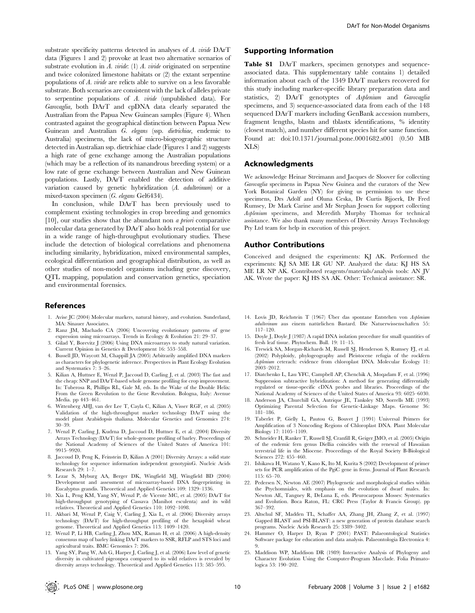substrate specificity patterns detected in analyses of A. viride DArT data (Figures 1 and 2) provoke at least two alternative scenarios of substrate evolution in  $A$ . viride: (1)  $A$ . viride originated on serpentine and twice colonized limestone habitats or (2) the extant serpentine populations of  $A$ . *viride* are relicts able to survive on a less favorable substrate. Both scenarios are consistent with the lack of alleles private to serpentine populations of A. viride (unpublished data). For Garovaglia, both DArT and cpDNA data clearly separated the Australian from the Papua New Guinean samples (Figure 4). When contrasted against the geographical distinction between Papua New Guinean and Australian G. elegans (ssp. dietrichiae, endemic to Australia) specimens, the lack of micro-biogeographic structure detected in Australian ssp. dietrichiae clade (Figures 1 and 2) suggests a high rate of gene exchange among the Australian populations (which may be a reflection of its nanandrous breeding system) or a low rate of gene exchange between Australian and New Guinean populations. Lastly, DArT enabled the detection of additive variation caused by genetic hybridization (A. adulterinum) or a mixed-taxon specimen (G. elegans Gel6434).

In conclusion, while DArT has been previously used to complement existing technologies in crop breeding and genomics [10], our studies show that the abundant non *a priori* comparative molecular data generated by DArT also holds real potential for use in a wide range of high-throughput evolutionary studies. These include the detection of biological correlations and phenomena including similarity, hybridization, mixed environmental samples, ecological differentiation and geographical distribution, as well as other studies of non-model organisms including gene discovery, QTL mapping, population and conservation genetics, speciation and environmental forensics.

#### References

- 1. Avise JC (2004) Molecular markers, natural history, and evolution. Sunderland, MA: Sinauer Associates.
- 2. Ranz JM, Machado CA (2006) Uncovering evolutionary patterns of gene expression using microarrays. Trends in Ecology & Evolution 21: 29–37.
- 3. Gilad Y, Borevitz J (2006) Using DNA microarrays to study natural variation. Current Opinion in Genetics & Development 16: 553–558.
- 4. Bussell JD, Waycott M, Chappill JA (2005) Arbitrarily amplified DNA markers as characters for phylogenetic inference. Perspectives in Plant Ecology Evolution and Systematics 7: 3–26.
- 5. Kilian A, Huttner E, Wenzl P, Jaccoud D, Carling J, et al. (2003) The fast and the cheap: SNP and DArT-based whole genome profiling for crop improvement. In: Tuberosa R, Phillips RL, Gale M, eds. In the Wake of the Double Helix: From the Green Revolution to the Gene Revolution. Bologna, Italy: Avenue Media. pp 443–461.
- 6. Wittenberg AHJ, van der Lee T, Cayla C, Kilian A, Visser RGF, et al. (2005) Validation of the high-throughput marker technology DArT using the model plant Arabidopsis thaliana. Molecular Genetics and Genomics 274: 30–39.
- 7. Wenzl P, Carling J, Kudrna D, Jaccoud D, Huttner E, et al. (2004) Diversity Arrays Technology (DArT) for whole-genome profiling of barley. Proceedings of the National Academy of Sciences of the United States of America 101: 9915–9920.
- 8. Jaccoud D, Peng K, Feinstein D, Kilian A (2001) Diversity Arrays: a solid state technology for sequence information independent genotypinG. Nucleic Acids Research 29: 1–7.
- 9. Lezar S, Myburg AA, Berger DK, Wingfield MJ, Wingfield BD (2004) Development and assessment of microarray-based DNA fingerprinting in Eucalyptus grandis. Theoretical and Applied Genetics 109: 1329–1336.
- 10. Xia L, Peng KM, Yang SY, Wenzl P, de Vicente MC, et al. (2005) DArT for high-throughput genotyping of Cassava (Manihot esculenta) and its wild relatives. Theoretical and Applied Genetics 110: 1092–1098.
- 11. Akbari M, Wenzl P, Caig V, Carling J, Xia L, et al. (2006) Diversity arrays technology (DArT) for high-throughput profiling of the hexaploid wheat genome. Theoretical and Applied Genetics 113: 1409–1420.
- 12. Wenzl P, Li HB, Carling J, Zhou MX, Raman H, et al. (2006) A high-density consensus map of barley linking DArT markers to SSR, RFLP and STS loci and agricultural traits. BMC Genomics 7: 206.
- 13. Yang SY, Pang W, Ash G, Harper J, Carling J, et al. (2006) Low level of genetic diversity in cultivated pigeonpea compared to its wild relatives is revealed by diversity arrays technology. Theoretical and Applied Genetics 113: 585–595.

#### Supporting Information

Table S1 DArT markers, specimen genotypes and sequenceassociated data. This supplementary table contains 1) detailed information about each of the 1349 DArT markers recovered for this study including marker-specific library preparation data and statistics, 2) DArT genotyptes of Asplenium and Garovaglia specimens, and 3) sequence-associated data from each of the 148 sequenced DArT markers including GenBank accession numbers, fragment lengths, blastn and tblastx identifications, % identity (closest match), and number different species hit for same function. Found at: doi:10.1371/journal.pone.0001682.s001 (0.50 MB XLS)

## Acknowledgments

We acknowledge Heinar Streimann and Jacques de Sloover for collecting Garovaglia specimens in Papua New Guinea and the curators of the New York Botanical Garden (NY) for giving us permission to use these specimens, Drs Adolf and Oluna Ceska, Dr Curtis Bjjoerk, Dr Fred Rumsey, Dr Mark Carine and Mr Stephan Jessen for support collecting Asplenium specimens, and Meredith Murphy Thomas for technical assistance. We also thank many members of Diversity Arrays Technology Pty Ltd team for help in execution of this project.

## Author Contributions

Conceived and designed the experiments: KJ AK. Performed the experiments: KJ SA ME LR GU NP. Analyzed the data: KJ HS SA ME LR NP AK. Contributed reagents/materials/analysis tools: AN JV AK. Wrote the paper: KJ HS SA AK. Other: Technical assistance: SR.

- 14. Lovis JD, Reichstein T (1967) Über das spontane Entstehen von Asplenium adulterinum aus einem natürlichen Bastard. Die Natuerwissenschaften 55: 117–120.
- 15. Doyle J, Doyle J (1987) A rapid DNA isolation procedure for small quantities of fresh leaf tissue. Phytochem. Bull. 19: 11–15.
- 16. Trewick SA, Morgan-Richards M, Russell SJ, Henderson S, Rumsey FJ, et al. (2002) Polyploidy, phylogeography and Pleistocene refugia of the rockfern Asplenium ceterach: evidence from chloroplast DNA. Molecular Ecology 11: 2003–2012.
- 17. Diatchenko L, Lau YFC, Campbell AP, Chenchik A, Moqadam F, et al. (1996) Suppression subtractive hybridization: A method for generating differentially regulated or tissue-specific cDNA probes and libraries. Proceedings of the National Academy of Sciences of the United States of America 93: 6025–6030.
- 18. Anderson JA, Churchill GA, Autrique JE, Tanksley SD, Sorrells ME (1993) Optimizing Parental Selection for Genetic-Linkage Maps. Genome 36: 181–186.
- 19. Taberlet P, Gielly L, Pautou G, Bouvet J (1991) Universal Primers for Amplification of 3 Noncoding Regions of Chloroplast DNA. Plant Molecular Biology 17: 1105–1109.
- 20. Schneider H, Ranker T, Russell SJ, Cranfill R, Geiger JMO, et al. (2005) Origin of the endemic fern genus Diellia coincides with the renewal of Hawaiian terrestrial life in the Miocene. Proceedings of the Royal Society B-Biological Sciences 272: 455–460.
- 21. Ishikawa H, Watano Y, Kano K, Ito M, Kurita S (2002) Development of primer sets for PCR amplification of the PgiC gene in ferns. Journal of Plant Research 115: 65–70.
- 22. Pedersen N, Newton AE (2007) Phylogenetic and morphological studies within the Ptychomniales, with emphasis on the evolution of dwarf males. In: Newton AE, Tangney R, DeLuna E, eds. Pleurocarpous Mosses: Systematics and Evolution. Boca Raton, FL: CRC Press (Taylor & Francis Group). pp 367–392.
- 23. Altschul SF, Madden TL, Schaffer AA, Zhang JH, Zhang Z, et al. (1997) Gapped BLAST and PSI-BLAST: a new generation of protein database search programs. Nucleic Acids Research 25: 3389–3402.
- 24. Hammer O, Harper D, Ryan P (2001) PAST: Palaeontological Statistics Software package for education and data analysis. Palaeontologia Electronica 4: 9.
- 25. Maddison WP, Maddison DR (1989) Interactive Analysis of Phylogeny and Character Evolution Using the Computer-Program Macclade. Folia Primatologica 53: 190–202.